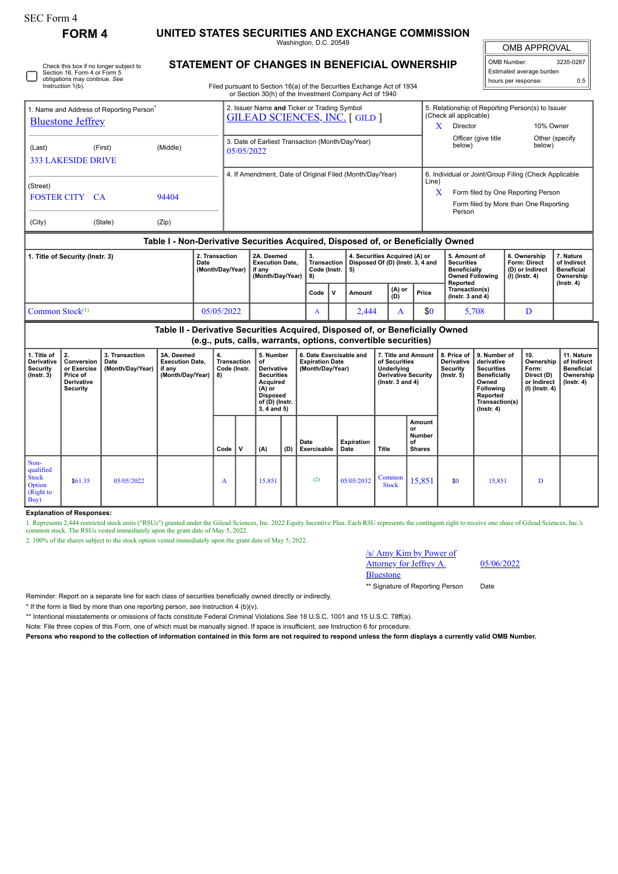┌

## **FORM 4 UNITED STATES SECURITIES AND EXCHANGE COMMISSION**

Washington, D.C. 20549

 $\mathbb{I}$ OMB APPROVAL

| OMB Number:              | 3235-0287 |  |  |  |  |  |  |  |  |
|--------------------------|-----------|--|--|--|--|--|--|--|--|
| Estimated average burden |           |  |  |  |  |  |  |  |  |
| hours per response:      | 0.5       |  |  |  |  |  |  |  |  |

Check this box if no longer subject to Section 16. Form 4 or Form 5 obligations may continue. *See* Instruction 1(b).

## **STATEMENT OF CHANGES IN BENEFICIAL OWNERSHIP**

Filed pursuant to Section 16(a) of the Securities Exchange Act of 1934 or Section 30(h) of the Investment Company Act of 1940

| 1. Name and Address of Reporting Person <sup>®</sup>                                                                                            |                                                          |          |  | 2. Issuer Name and Ticker or Trading Symbol<br><b>GILEAD SCIENCES, INC. [GILD ]</b> |                                                                    |              |                                              |                                                                   | 5. Relationship of Reporting Person(s) to Issuer<br>(Check all applicable) |                                                                                                     |                                                                                                |                                                                          |                                                            |  |  |
|-------------------------------------------------------------------------------------------------------------------------------------------------|----------------------------------------------------------|----------|--|-------------------------------------------------------------------------------------|--------------------------------------------------------------------|--------------|----------------------------------------------|-------------------------------------------------------------------|----------------------------------------------------------------------------|-----------------------------------------------------------------------------------------------------|------------------------------------------------------------------------------------------------|--------------------------------------------------------------------------|------------------------------------------------------------|--|--|
| <b>Bluestone Jeffrey</b>                                                                                                                        |                                                          |          |  |                                                                                     |                                                                    |              |                                              |                                                                   |                                                                            | X<br>Director                                                                                       |                                                                                                | 10% Owner                                                                |                                                            |  |  |
| (Last)<br><b>333 LAKESIDE DRIVE</b>                                                                                                             | (First)                                                  | (Middle) |  | 3. Date of Earliest Transaction (Month/Day/Year)<br>05/05/2022                      |                                                                    |              |                                              |                                                                   |                                                                            |                                                                                                     | Officer (give title<br>below)                                                                  | below)                                                                   | Other (specify                                             |  |  |
|                                                                                                                                                 | 4. If Amendment, Date of Original Filed (Month/Day/Year) |          |  |                                                                                     |                                                                    |              |                                              |                                                                   |                                                                            | 6. Individual or Joint/Group Filing (Check Applicable                                               |                                                                                                |                                                                          |                                                            |  |  |
| (Street)<br><b>FOSTER CITY CA</b>                                                                                                               |                                                          |          |  |                                                                                     |                                                                    |              |                                              |                                                                   |                                                                            | Line)<br>Form filed by One Reporting Person<br>X<br>Form filed by More than One Reporting<br>Person |                                                                                                |                                                                          |                                                            |  |  |
| (City)                                                                                                                                          | (State)                                                  | (Zip)    |  |                                                                                     |                                                                    |              |                                              |                                                                   |                                                                            |                                                                                                     |                                                                                                |                                                                          |                                                            |  |  |
| Table I - Non-Derivative Securities Acquired, Disposed of, or Beneficially Owned                                                                |                                                          |          |  |                                                                                     |                                                                    |              |                                              |                                                                   |                                                                            |                                                                                                     |                                                                                                |                                                                          |                                                            |  |  |
| 2. Transaction<br>1. Title of Security (Instr. 3)<br>Date<br>(Month/Day/Year)                                                                   |                                                          |          |  |                                                                                     | 2A. Deemed<br><b>Execution Date.</b><br>if any<br>(Month/Day/Year) |              | <b>Transaction</b> I<br>Code (Instr. $  5$ ) | 4. Securities Acquired (A) or<br>Disposed Of (D) (Instr. 3, 4 and |                                                                            |                                                                                                     | 5. Amount of<br><b>Securities</b><br><b>Beneficially</b><br><b>Owned Following</b><br>Reported | 6. Ownership<br><b>Form: Direct</b><br>(D) or Indirect<br>(I) (Instr. 4) | 7. Nature<br>of Indirect<br><b>Beneficial</b><br>Ownership |  |  |
|                                                                                                                                                 |                                                          |          |  |                                                                                     |                                                                    | $\mathsf{v}$ | Amount                                       | (A) or<br>(D)<br>Price                                            |                                                                            | Transaction(s)<br>$($ lnstr. 3 and 4 $)$                                                            |                                                                                                | $($ Instr. 4 $)$                                                         |                                                            |  |  |
| Common Stock <sup>(1)</sup><br>05/05/2022                                                                                                       |                                                          |          |  |                                                                                     |                                                                    | A            |                                              | 2,444                                                             | A                                                                          | \$0                                                                                                 | 5,708                                                                                          | D                                                                        |                                                            |  |  |
| Table II - Derivative Securities Acquired, Disposed of, or Beneficially Owned<br>(e.g., puts, calls, warrants, options, convertible securities) |                                                          |          |  |                                                                                     |                                                                    |              |                                              |                                                                   |                                                                            |                                                                                                     |                                                                                                |                                                                          |                                                            |  |  |

**(e.g., puts, calls, warrants, options, convertible securities)**

| 1. Title of<br>Derivative<br><b>Security</b><br>$($ Instr. $3)$  | 2.<br>Conversion<br>or Exercise<br>Price of<br>Derivative<br><b>Security</b> | 3. Transaction<br>Date<br>(Month/Day/Year) | 3A. Deemed<br><b>Execution Date,</b><br>if any<br>(Month/Day/Year) | 4.<br>Transaction<br>Code (Instr.<br>8) |             | 5. Number<br>of<br>Derivative<br><b>Securities</b><br>Acquired<br>$(A)$ or<br><b>Disposed</b><br>of (D) (Instr.<br>$3, 4$ and $5)$ |     | 6. Date Exercisable and<br><b>Expiration Date</b><br>(Month/Day/Year) |                           | 7. Title and Amount<br>of Securities<br>Underlying<br><b>Derivative Security</b><br>( $lnstr.3$ and 4) |                                               | 8. Price of<br>Derivative<br>Security<br>(Instr. 5) | 9. Number of<br>derivative<br><b>Securities</b><br>Beneficially<br>Owned<br>Following<br>Reported<br>Transaction(s)<br>$($ Instr. 4 $)$ | 10.<br>Ownership<br>Form:<br>Direct (D)<br>or Indirect<br>(I) (Instr. 4) | 11. Nature<br>of Indirect<br><b>Beneficial</b><br>Ownership<br>(Instr. 4) |
|------------------------------------------------------------------|------------------------------------------------------------------------------|--------------------------------------------|--------------------------------------------------------------------|-----------------------------------------|-------------|------------------------------------------------------------------------------------------------------------------------------------|-----|-----------------------------------------------------------------------|---------------------------|--------------------------------------------------------------------------------------------------------|-----------------------------------------------|-----------------------------------------------------|-----------------------------------------------------------------------------------------------------------------------------------------|--------------------------------------------------------------------------|---------------------------------------------------------------------------|
|                                                                  |                                                                              |                                            |                                                                    | Code                                    | $\mathbf v$ | (A)                                                                                                                                | (D) | Date<br>Exercisable                                                   | <b>Expiration</b><br>Date | Title                                                                                                  | Amount<br>or<br>Number<br>of<br><b>Shares</b> |                                                     |                                                                                                                                         |                                                                          |                                                                           |
| Non-<br>qualified<br><b>Stock</b><br>Option<br>(Right to<br>Buy) | \$61.35                                                                      | 05/05/2022                                 |                                                                    | A                                       |             | 15,851                                                                                                                             |     | (2)                                                                   | 05/05/2032                | Common<br><b>Stock</b>                                                                                 | 15,851                                        | \$0                                                 | 15,851                                                                                                                                  | D                                                                        |                                                                           |

**Explanation of Responses:**

1. Represents 2,444 restricted stock units ("RSUs") granted under the Gilead Sciences, Inc. 2022 Equity Incentive Plan. Each RSU represents the contingent right to receive one share of Gilead Sciences, Inc.'s common stock.

2. 100% of the shares subject to the stock option vested immediately upon the grant date of May 5, 2022.

## /s/ Amy Kim by Power of Attorney for Jeffrey A. Bluestone

05/06/2022

\*\* Signature of Reporting Person Date

Reminder: Report on a separate line for each class of securities beneficially owned directly or indirectly.

\* If the form is filed by more than one reporting person, *see* Instruction 4 (b)(v).

\*\* Intentional misstatements or omissions of facts constitute Federal Criminal Violations *See* 18 U.S.C. 1001 and 15 U.S.C. 78ff(a).

Note: File three copies of this Form, one of which must be manually signed. If space is insufficient, *see* Instruction 6 for procedure.

**Persons who respond to the collection of information contained in this form are not required to respond unless the form displays a currently valid OMB Number.**